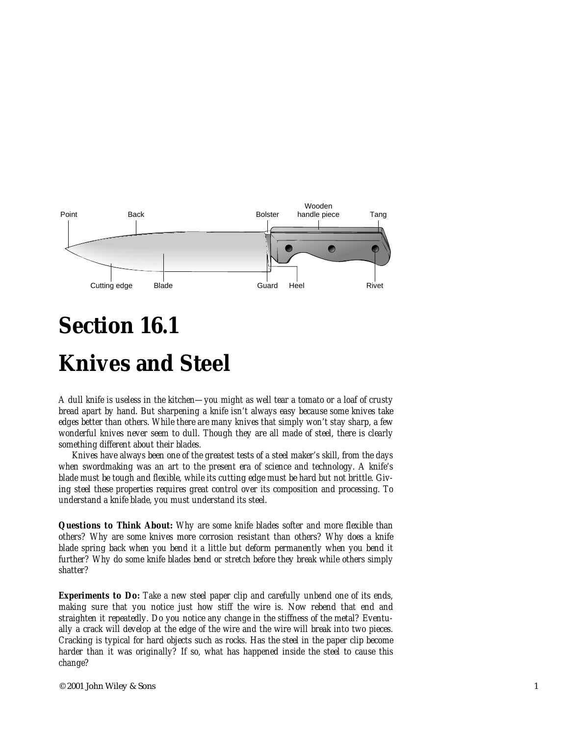

# **Section 16.1**

# **Knives and Steel**

*A dull knife is useless in the kitchen—you might as well tear a tomato or a loaf of crusty bread apart by hand. But sharpening a knife isn't always easy because some knives take edges better than others. While there are many knives that simply won't stay sharp, a few wonderful knives never seem to dull. Though they are all made of steel, there is clearly something different about their blades.* 

*Knives have always been one of the greatest tests of a steel maker's skill, from the days when swordmaking was an art to the present era of science and technology. A knife's blade must be tough and flexible, while its cutting edge must be hard but not brittle. Giving steel these properties requires great control over its composition and processing. To understand a knife blade, you must understand its steel.* 

*Questions to Think About: Why are some knife blades softer and more flexible than others? Why are some knives more corrosion resistant than others? Why does a knife blade spring back when you bend it a little but deform permanently when you bend it further? Why do some knife blades bend or stretch before they break while others simply shatter?* 

*Experiments to Do: Take a new steel paper clip and carefully unbend one of its ends, making sure that you notice just how stiff the wire is. Now rebend that end and straighten it repeatedly. Do you notice any change in the stiffness of the metal? Eventually a crack will develop at the edge of the wire and the wire will break into two pieces. Cracking is typical for hard objects such as rocks. Has the steel in the paper clip become harder than it was originally? If so, what has happened inside the steel to cause this change?*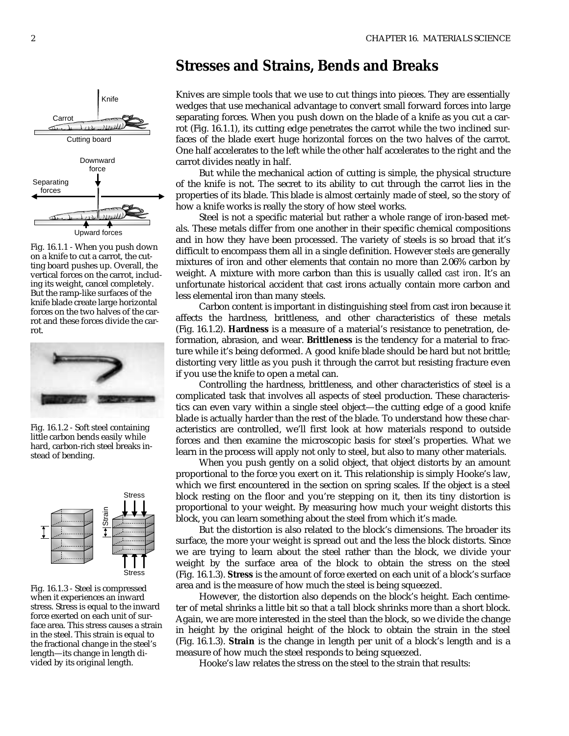

Fig. 16.1.1 - When you push down on a knife to cut a carrot, the cutting board pushes up. Overall, the vertical forces on the carrot, including its weight, cancel completely. But the ramp-like surfaces of the knife blade create large horizontal forces on the two halves of the carrot and these forces divide the carrot.



Fig. 16.1.2 - Soft steel containing little carbon bends easily while hard, carbon-rich steel breaks instead of bending.



Fig. 16.1.3 - Steel is compressed when it experiences an inward stress. Stress is equal to the inward force exerted on each unit of surface area. This stress causes a strain in the steel. This strain is equal to the fractional change in the steel's length—its change in length divided by its original length.

# **Stresses and Strains, Bends and Breaks**

Knives are simple tools that we use to cut things into pieces. They are essentially wedges that use mechanical advantage to convert small forward forces into large separating forces. When you push down on the blade of a knife as you cut a carrot (Fig. 16.1.1), its cutting edge penetrates the carrot while the two inclined surfaces of the blade exert huge horizontal forces on the two halves of the carrot. One half accelerates to the left while the other half accelerates to the right and the carrot divides neatly in half.

But while the mechanical action of cutting is simple, the physical structure of the knife is not. The secret to its ability to cut through the carrot lies in the properties of its blade. This blade is almost certainly made of steel, so the story of how a knife works is really the story of how steel works.

Steel is not a specific material but rather a whole range of iron-based metals. These metals differ from one another in their specific chemical compositions and in how they have been processed. The variety of steels is so broad that it's difficult to encompass them all in a single definition. However *steels* are generally mixtures of iron and other elements that contain no more than 2.06% carbon by weight. A mixture with more carbon than this is usually called *cast iron*. It's an unfortunate historical accident that cast irons actually contain more carbon and less elemental iron than many steels.

Carbon content is important in distinguishing steel from cast iron because it affects the hardness, brittleness, and other characteristics of these metals (Fig. 16.1.2). **Hardness** is a measure of a material's resistance to penetration, deformation, abrasion, and wear. **Brittleness** is the tendency for a material to fracture while it's being deformed. A good knife blade should be hard but not brittle; distorting very little as you push it through the carrot but resisting fracture even if you use the knife to open a metal can.

Controlling the hardness, brittleness, and other characteristics of steel is a complicated task that involves all aspects of steel production. These characteristics can even vary within a single steel object—the cutting edge of a good knife blade is actually harder than the rest of the blade. To understand how these characteristics are controlled, we'll first look at how materials respond to outside forces and then examine the microscopic basis for steel's properties. What we learn in the process will apply not only to steel, but also to many other materials.

When you push gently on a solid object, that object distorts by an amount proportional to the force you exert on it. This relationship is simply Hooke's law, which we first encountered in the section on spring scales. If the object is a steel block resting on the floor and you're stepping on it, then its tiny distortion is proportional to your weight. By measuring how much your weight distorts this block, you can learn something about the steel from which it's made.

But the distortion is also related to the block's dimensions. The broader its surface, the more your weight is spread out and the less the block distorts. Since we are trying to learn about the steel rather than the block, we divide your weight by the surface area of the block to obtain the stress on the steel (Fig. 16.1.3). **Stress** is the amount of force exerted on each unit of a block's surface area and is the measure of how much the steel is being squeezed.

However, the distortion also depends on the block's height. Each centimeter of metal shrinks a little bit so that a tall block shrinks more than a short block. Again, we are more interested in the steel than the block, so we divide the change in height by the original height of the block to obtain the strain in the steel (Fig. 16.1.3). **Strain** is the change in length per unit of a block's length and is a measure of how much the steel responds to being squeezed.

Hooke's law relates the stress on the steel to the strain that results: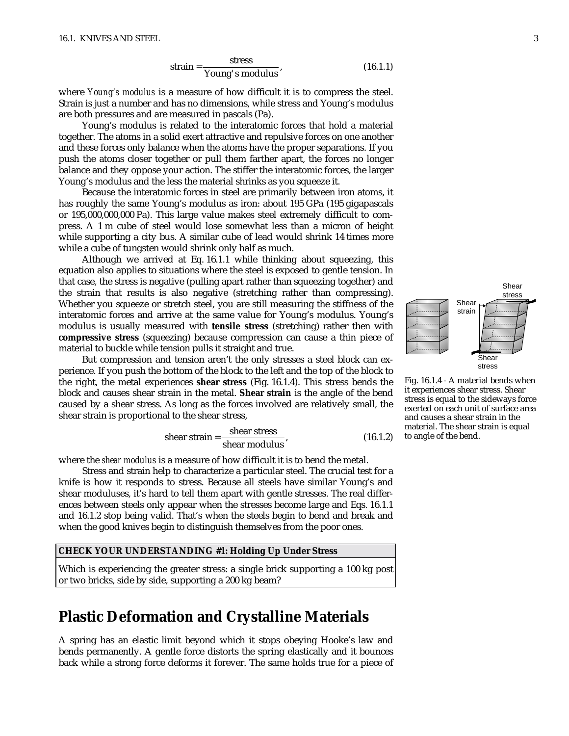$$
strain = \frac{stress}{Young's modulus},
$$
 (16.1.1)

where *Young's modulus* is a measure of how difficult it is to compress the steel. Strain is just a number and has no dimensions, while stress and Young's modulus are both pressures and are measured in pascals (Pa).

Young's modulus is related to the interatomic forces that hold a material together. The atoms in a solid exert attractive and repulsive forces on one another and these forces only balance when the atoms have the proper separations. If you push the atoms closer together or pull them farther apart, the forces no longer balance and they oppose your action. The stiffer the interatomic forces, the larger Young's modulus and the less the material shrinks as you squeeze it.

Because the interatomic forces in steel are primarily between iron atoms, it has roughly the same Young's modulus as iron: about 195 GPa (195 gigapascals or 195,000,000,000 Pa). This large value makes steel extremely difficult to compress. A 1 m cube of steel would lose somewhat less than a micron of height while supporting a city bus. A similar cube of lead would shrink 14 times more while a cube of tungsten would shrink only half as much.

Although we arrived at Eq. 16.1.1 while thinking about squeezing, this equation also applies to situations where the steel is exposed to gentle tension. In that case, the stress is negative (pulling apart rather than squeezing together) and the strain that results is also negative (stretching rather than compressing). Whether you squeeze or stretch steel, you are still measuring the stiffness of the interatomic forces and arrive at the same value for Young's modulus. Young's modulus is usually measured with **tensile stress** (stretching) rather then with **compressive stress** (squeezing) because compression can cause a thin piece of material to buckle while tension pulls it straight and true.

But compression and tension aren't the only stresses a steel block can experience. If you push the bottom of the block to the left and the top of the block to the right, the metal experiences **shear stress** (Fig. 16.1.4). This stress bends the block and causes shear strain in the metal. **Shear strain** is the angle of the bend caused by a shear stress. As long as the forces involved are relatively small, the shear strain is proportional to the shear stress,

shear strain = 
$$
\frac{\text{shear stress}}{\text{shear modulus}}
$$
, (16.1.2)

where the *shear modulus* is a measure of how difficult it is to bend the metal.

Stress and strain help to characterize a particular steel. The crucial test for a knife is how it responds to stress. Because all steels have similar Young's and shear moduluses, it's hard to tell them apart with gentle stresses. The real differences between steels only appear when the stresses become large and Eqs. 16.1.1 and 16.1.2 stop being valid. That's when the steels begin to bend and break and when the good knives begin to distinguish themselves from the poor ones.

#### **CHECK YOUR UNDERSTANDING #1: Holding Up Under Stress**

Which is experiencing the greater stress: a single brick supporting a 100 kg post or two bricks, side by side, supporting a 200 kg beam?

# **Plastic Deformation and Crystalline Materials**

A spring has an elastic limit beyond which it stops obeying Hooke's law and bends permanently. A gentle force distorts the spring elastically and it bounces back while a strong force deforms it forever. The same holds true for a piece of



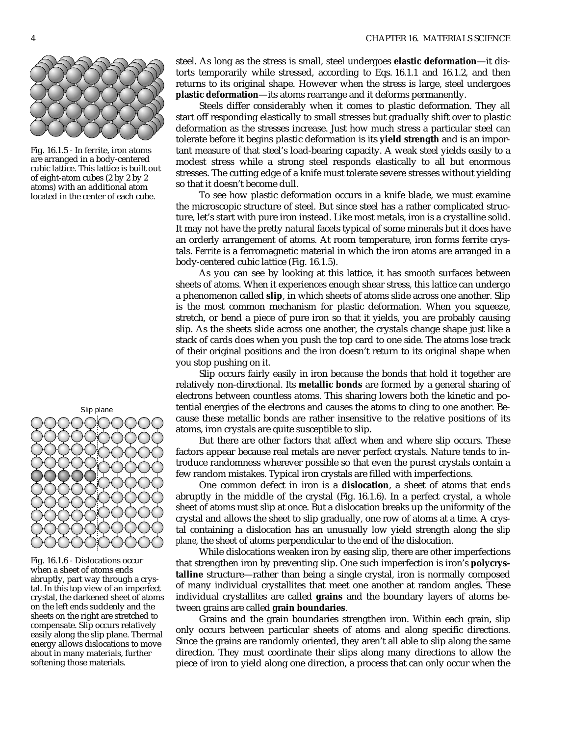

Fig. 16.1.5 - In ferrite, iron atoms are arranged in a body-centered cubic lattice. This lattice is built out of eight-atom cubes (2 by 2 by 2 atoms) with an additional atom located in the center of each cube.



Fig. 16.1.6 - Dislocations occur when a sheet of atoms ends abruptly, part way through a crystal. In this top view of an imperfect crystal, the darkened sheet of atoms on the left ends suddenly and the sheets on the right are stretched to compensate. Slip occurs relatively easily along the slip plane. Thermal energy allows dislocations to move about in many materials, further softening those materials.

steel. As long as the stress is small, steel undergoes **elastic deformation**—it distorts temporarily while stressed, according to Eqs. 16.1.1 and 16.1.2, and then returns to its original shape. However when the stress is large, steel undergoes **plastic deformation**—its atoms rearrange and it deforms permanently.

Steels differ considerably when it comes to plastic deformation. They all start off responding elastically to small stresses but gradually shift over to plastic deformation as the stresses increase. Just how much stress a particular steel can tolerate before it begins plastic deformation is its **yield strength** and is an important measure of that steel's load-bearing capacity. A weak steel yields easily to a modest stress while a strong steel responds elastically to all but enormous stresses. The cutting edge of a knife must tolerate severe stresses without yielding so that it doesn't become dull.

To see how plastic deformation occurs in a knife blade, we must examine the microscopic structure of steel. But since steel has a rather complicated structure, let's start with pure iron instead. Like most metals, iron is a crystalline solid. It may not have the pretty natural facets typical of some minerals but it does have an orderly arrangement of atoms. At room temperature, iron forms ferrite crystals. *Ferrite* is a ferromagnetic material in which the iron atoms are arranged in a body-centered cubic lattice (Fig. 16.1.5).

As you can see by looking at this lattice, it has smooth surfaces between sheets of atoms. When it experiences enough shear stress, this lattice can undergo a phenomenon called **slip**, in which sheets of atoms slide across one another. Slip is the most common mechanism for plastic deformation. When you squeeze, stretch, or bend a piece of pure iron so that it yields, you are probably causing slip. As the sheets slide across one another, the crystals change shape just like a stack of cards does when you push the top card to one side. The atoms lose track of their original positions and the iron doesn't return to its original shape when you stop pushing on it.

Slip occurs fairly easily in iron because the bonds that hold it together are relatively non-directional. Its **metallic bonds** are formed by a general sharing of electrons between countless atoms. This sharing lowers both the kinetic and potential energies of the electrons and causes the atoms to cling to one another. Because these metallic bonds are rather insensitive to the relative positions of its atoms, iron crystals are quite susceptible to slip.

But there are other factors that affect when and where slip occurs. These factors appear because real metals are never perfect crystals. Nature tends to introduce randomness wherever possible so that even the purest crystals contain a few random mistakes. Typical iron crystals are filled with imperfections.

One common defect in iron is a **dislocation**, a sheet of atoms that ends abruptly in the middle of the crystal (Fig. 16.1.6). In a perfect crystal, a whole sheet of atoms must slip at once. But a dislocation breaks up the uniformity of the crystal and allows the sheet to slip gradually, one row of atoms at a time. A crystal containing a dislocation has an unusually low yield strength along the *slip plane*, the sheet of atoms perpendicular to the end of the dislocation.

While dislocations weaken iron by easing slip, there are other imperfections that strengthen iron by preventing slip. One such imperfection is iron's **polycrystalline** structure—rather than being a single crystal, iron is normally composed of many individual crystallites that meet one another at random angles. These individual crystallites are called **grains** and the boundary layers of atoms between grains are called **grain boundaries**.

Grains and the grain boundaries strengthen iron. Within each grain, slip only occurs between particular sheets of atoms and along specific directions. Since the grains are randomly oriented, they aren't all able to slip along the same direction. They must coordinate their slips along many directions to allow the piece of iron to yield along one direction, a process that can only occur when the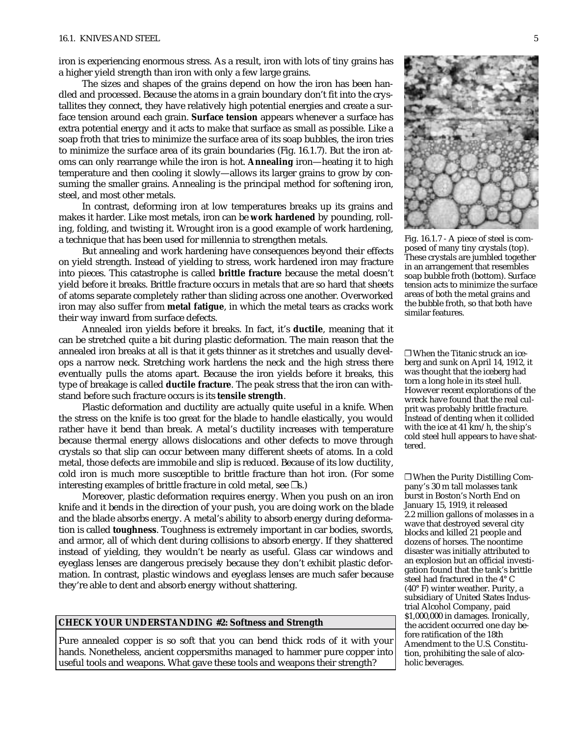iron is experiencing enormous stress. As a result, iron with lots of tiny grains has a higher yield strength than iron with only a few large grains.

The sizes and shapes of the grains depend on how the iron has been handled and processed. Because the atoms in a grain boundary don't fit into the crystallites they connect, they have relatively high potential energies and create a surface tension around each grain. **Surface tension** appears whenever a surface has extra potential energy and it acts to make that surface as small as possible. Like a soap froth that tries to minimize the surface area of its soap bubbles, the iron tries to minimize the surface area of its grain boundaries (Fig. 16.1.7). But the iron atoms can only rearrange while the iron is hot. **Annealing** iron—heating it to high temperature and then cooling it slowly—allows its larger grains to grow by consuming the smaller grains. Annealing is the principal method for softening iron, steel, and most other metals.

In contrast, deforming iron at low temperatures breaks up its grains and makes it harder. Like most metals, iron can be **work hardened** by pounding, rolling, folding, and twisting it. Wrought iron is a good example of work hardening, a technique that has been used for millennia to strengthen metals.

But annealing and work hardening have consequences beyond their effects on yield strength. Instead of yielding to stress, work hardened iron may fracture into pieces. This catastrophe is called **brittle fracture** because the metal doesn't yield before it breaks. Brittle fracture occurs in metals that are so hard that sheets of atoms separate completely rather than sliding across one another. Overworked iron may also suffer from **metal fatigue**, in which the metal tears as cracks work their way inward from surface defects.

Annealed iron yields before it breaks. In fact, it's **ductile**, meaning that it can be stretched quite a bit during plastic deformation. The main reason that the annealed iron breaks at all is that it gets thinner as it stretches and usually develops a narrow neck. Stretching work hardens the neck and the high stress there eventually pulls the atoms apart. Because the iron yields before it breaks, this type of breakage is called **ductile fracture**. The peak stress that the iron can withstand before such fracture occurs is its **tensile strength**.

Plastic deformation and ductility are actually quite useful in a knife. When the stress on the knife is too great for the blade to handle elastically, you would rather have it bend than break. A metal's ductility increases with temperature because thermal energy allows dislocations and other defects to move through crystals so that slip can occur between many different sheets of atoms. In a cold metal, those defects are immobile and slip is reduced. Because of its low ductility, cold iron is much more susceptible to brittle fracture than hot iron. (For some interesting examples of brittle fracture in cold metal, see  $\Box$ s.)

Moreover, plastic deformation requires energy. When you push on an iron knife and it bends in the direction of your push, you are doing work on the blade and the blade absorbs energy. A metal's ability to absorb energy during deformation is called **toughness**. Toughness is extremely important in car bodies, swords, and armor, all of which dent during collisions to absorb energy. If they shattered instead of yielding, they wouldn't be nearly as useful. Glass car windows and eyeglass lenses are dangerous precisely because they don't exhibit plastic deformation. In contrast, plastic windows and eyeglass lenses are much safer because they're able to dent and absorb energy without shattering.

#### **CHECK YOUR UNDERSTANDING #2: Softness and Strength**

Pure annealed copper is so soft that you can bend thick rods of it with your hands. Nonetheless, ancient coppersmiths managed to hammer pure copper into useful tools and weapons. What gave these tools and weapons their strength?



Fig. 16.1.7 - A piece of steel is composed of many tiny crystals (top). These crystals are jumbled together in an arrangement that resembles soap bubble froth (bottom). Surface tension acts to minimize the surface areas of both the metal grains and the bubble froth, so that both have similar features.

❐ When the Titanic struck an iceberg and sunk on April 14, 1912, it was thought that the iceberg had torn a long hole in its steel hull. However recent explorations of the wreck have found that the real culprit was probably brittle fracture. Instead of denting when it collided with the ice at 41 km/h, the ship's cold steel hull appears to have shattered.

❐ When the Purity Distilling Company's 30 m tall molasses tank burst in Boston's North End on January 15, 1919, it released 2.2 million gallons of molasses in a wave that destroyed several city blocks and killed 21 people and dozens of horses. The noontime disaster was initially attributed to an explosion but an official investigation found that the tank's brittle steel had fractured in the 4° C (40° F) winter weather. Purity, a subsidiary of United States Industrial Alcohol Company, paid \$1,000,000 in damages. Ironically, the accident occurred one day before ratification of the 18th Amendment to the U.S. Constitution, prohibiting the sale of alcoholic beverages.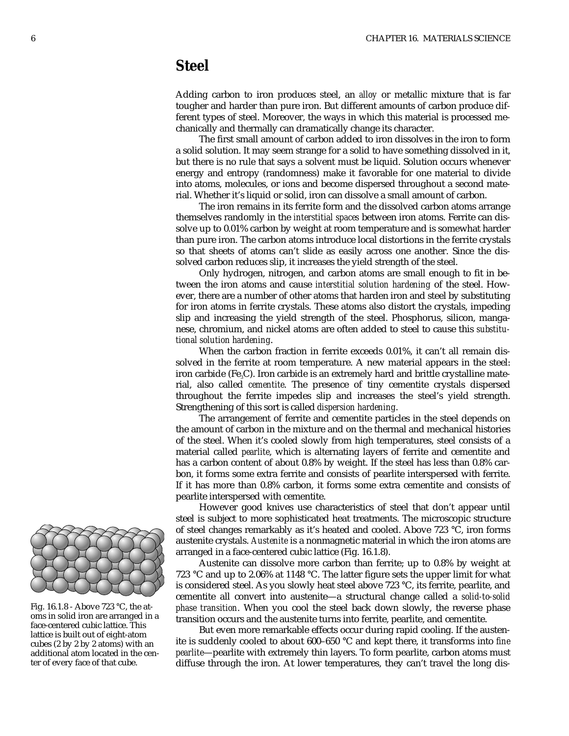### **Steel**

Adding carbon to iron produces steel, an *alloy* or metallic mixture that is far tougher and harder than pure iron. But different amounts of carbon produce different types of steel. Moreover, the ways in which this material is processed mechanically and thermally can dramatically change its character.

The first small amount of carbon added to iron dissolves in the iron to form a solid solution. It may seem strange for a solid to have something dissolved in it, but there is no rule that says a solvent must be liquid. Solution occurs whenever energy and entropy (randomness) make it favorable for one material to divide into atoms, molecules, or ions and become dispersed throughout a second material. Whether it's liquid or solid, iron can dissolve a small amount of carbon.

The iron remains in its ferrite form and the dissolved carbon atoms arrange themselves randomly in the *interstitial spaces* between iron atoms. Ferrite can dissolve up to 0.01% carbon by weight at room temperature and is somewhat harder than pure iron. The carbon atoms introduce local distortions in the ferrite crystals so that sheets of atoms can't slide as easily across one another. Since the dissolved carbon reduces slip, it increases the yield strength of the steel.

Only hydrogen, nitrogen, and carbon atoms are small enough to fit in between the iron atoms and cause *interstitial solution hardening* of the steel. However, there are a number of other atoms that harden iron and steel by substituting for iron atoms in ferrite crystals. These atoms also distort the crystals, impeding slip and increasing the yield strength of the steel. Phosphorus, silicon, manganese, chromium, and nickel atoms are often added to steel to cause this *substitutional solution hardening*.

When the carbon fraction in ferrite exceeds 0.01%, it can't all remain dissolved in the ferrite at room temperature. A new material appears in the steel: iron carbide  $(Fe_3C)$ . Iron carbide is an extremely hard and brittle crystalline material, also called *cementite*. The presence of tiny cementite crystals dispersed throughout the ferrite impedes slip and increases the steel's yield strength. Strengthening of this sort is called *dispersion hardening*.

The arrangement of ferrite and cementite particles in the steel depends on the amount of carbon in the mixture and on the thermal and mechanical histories of the steel. When it's cooled slowly from high temperatures, steel consists of a material called *pearlite*, which is alternating layers of ferrite and cementite and has a carbon content of about 0.8% by weight. If the steel has less than 0.8% carbon, it forms some extra ferrite and consists of pearlite interspersed with ferrite. If it has more than 0.8% carbon, it forms some extra cementite and consists of pearlite interspersed with cementite.

However good knives use characteristics of steel that don't appear until steel is subject to more sophisticated heat treatments. The microscopic structure of steel changes remarkably as it's heated and cooled. Above 723 °C, iron forms austenite crystals. *Austenite* is a nonmagnetic material in which the iron atoms are arranged in a face-centered cubic lattice (Fig. 16.1.8).

Austenite can dissolve more carbon than ferrite; up to 0.8% by weight at 723 °C and up to 2.06% at 1148 °C. The latter figure sets the upper limit for what is considered steel. As you slowly heat steel above 723 °C, its ferrite, pearlite, and cementite all convert into austenite—a structural change called a *solid-to-solid phase transition*. When you cool the steel back down slowly, the reverse phase transition occurs and the austenite turns into ferrite, pearlite, and cementite.

But even more remarkable effects occur during rapid cooling. If the austenite is suddenly cooled to about 600–650 °C and kept there, it transforms into *fine pearlite*—pearlite with extremely thin layers. To form pearlite, carbon atoms must diffuse through the iron. At lower temperatures, they can't travel the long dis-



Fig. 16.1.8 - Above 723 °C, the atoms in solid iron are arranged in a face-centered cubic lattice. This lattice is built out of eight-atom cubes  $(2 \text{ by } 2 \text{ by } 2 \text{ atoms})$  with an additional atom located in the center of every face of that cube.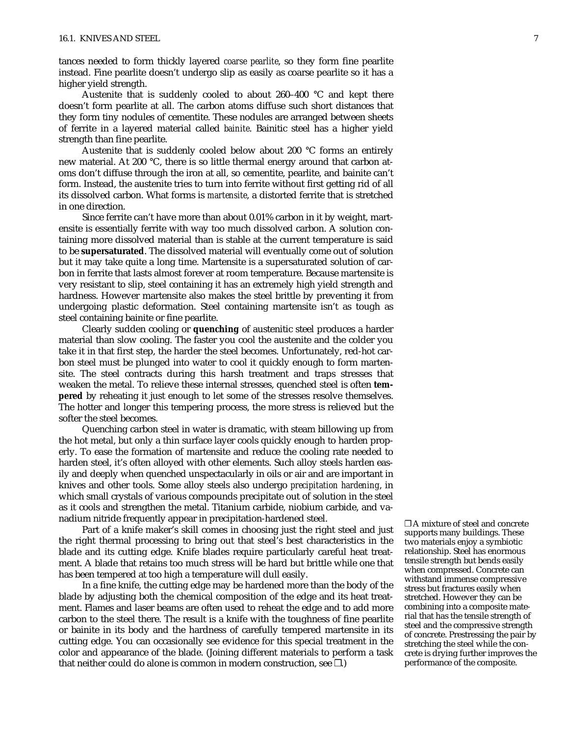tances needed to form thickly layered *coarse pearlite*, so they form fine pearlite instead. Fine pearlite doesn't undergo slip as easily as coarse pearlite so it has a higher yield strength.

Austenite that is suddenly cooled to about  $260-400$  °C and kept there doesn't form pearlite at all. The carbon atoms diffuse such short distances that they form tiny nodules of cementite. These nodules are arranged between sheets of ferrite in a layered material called *bainite*. Bainitic steel has a higher yield strength than fine pearlite.

Austenite that is suddenly cooled below about 200 °C forms an entirely new material. At 200 °C, there is so little thermal energy around that carbon atoms don't diffuse through the iron at all, so cementite, pearlite, and bainite can't form. Instead, the austenite tries to turn into ferrite without first getting rid of all its dissolved carbon. What forms is *martensite*, a distorted ferrite that is stretched in one direction.

Since ferrite can't have more than about 0.01% carbon in it by weight, martensite is essentially ferrite with way too much dissolved carbon. A solution containing more dissolved material than is stable at the current temperature is said to be **supersaturated**. The dissolved material will eventually come out of solution but it may take quite a long time. Martensite is a supersaturated solution of carbon in ferrite that lasts almost forever at room temperature. Because martensite is very resistant to slip, steel containing it has an extremely high yield strength and hardness. However martensite also makes the steel brittle by preventing it from undergoing plastic deformation. Steel containing martensite isn't as tough as steel containing bainite or fine pearlite.

Clearly sudden cooling or **quenching** of austenitic steel produces a harder material than slow cooling. The faster you cool the austenite and the colder you take it in that first step, the harder the steel becomes. Unfortunately, red-hot carbon steel must be plunged into water to cool it quickly enough to form martensite. The steel contracts during this harsh treatment and traps stresses that weaken the metal. To relieve these internal stresses, quenched steel is often **tempered** by reheating it just enough to let some of the stresses resolve themselves. The hotter and longer this tempering process, the more stress is relieved but the softer the steel becomes.

Quenching carbon steel in water is dramatic, with steam billowing up from the hot metal, but only a thin surface layer cools quickly enough to harden properly. To ease the formation of martensite and reduce the cooling rate needed to harden steel, it's often alloyed with other elements. Such alloy steels harden easily and deeply when quenched unspectacularly in oils or air and are important in knives and other tools. Some alloy steels also undergo *precipitation hardening*, in which small crystals of various compounds precipitate out of solution in the steel as it cools and strengthen the metal. Titanium carbide, niobium carbide, and vanadium nitride frequently appear in precipitation-hardened steel.

Part of a knife maker's skill comes in choosing just the right steel and just the right thermal processing to bring out that steel's best characteristics in the blade and its cutting edge. Knife blades require particularly careful heat treatment. A blade that retains too much stress will be hard but brittle while one that has been tempered at too high a temperature will dull easily.

In a fine knife, the cutting edge may be hardened more than the body of the blade by adjusting both the chemical composition of the edge and its heat treatment. Flames and laser beams are often used to reheat the edge and to add more carbon to the steel there. The result is a knife with the toughness of fine pearlite or bainite in its body and the hardness of carefully tempered martensite in its cutting edge. You can occasionally see evidence for this special treatment in the color and appearance of the blade. (Joining different materials to perform a task that neither could do alone is common in modern construction, see  $\square$ .)

❐ A mixture of steel and concrete supports many buildings. These two materials enjoy a symbiotic relationship. Steel has enormous tensile strength but bends easily when compressed. Concrete can withstand immense compressive stress but fractures easily when stretched. However they can be combining into a composite material that has the tensile strength of steel and the compressive strength of concrete. Prestressing the pair by stretching the steel while the concrete is drying further improves the performance of the composite.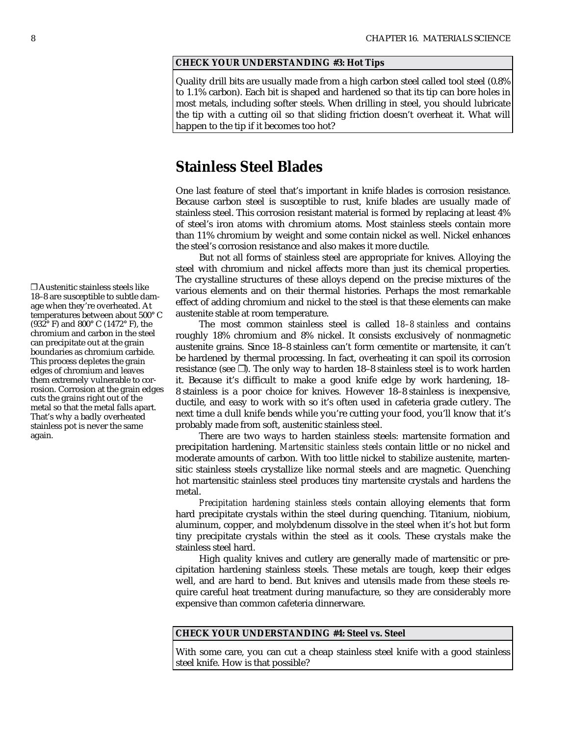#### **CHECK YOUR UNDERSTANDING #3: Hot Tips**

Quality drill bits are usually made from a high carbon steel called tool steel (0.8% to 1.1% carbon). Each bit is shaped and hardened so that its tip can bore holes in most metals, including softer steels. When drilling in steel, you should lubricate the tip with a cutting oil so that sliding friction doesn't overheat it. What will happen to the tip if it becomes too hot?

# **Stainless Steel Blades**

One last feature of steel that's important in knife blades is corrosion resistance. Because carbon steel is susceptible to rust, knife blades are usually made of stainless steel. This corrosion resistant material is formed by replacing at least 4% of steel's iron atoms with chromium atoms. Most stainless steels contain more than 11% chromium by weight and some contain nickel as well. Nickel enhances the steel's corrosion resistance and also makes it more ductile.

But not all forms of stainless steel are appropriate for knives. Alloying the steel with chromium and nickel affects more than just its chemical properties. The crystalline structures of these alloys depend on the precise mixtures of the various elements and on their thermal histories. Perhaps the most remarkable effect of adding chromium and nickel to the steel is that these elements can make austenite stable at room temperature.

The most common stainless steel is called *18–8 stainless* and contains roughly 18% chromium and 8% nickel. It consists exclusively of nonmagnetic austenite grains. Since 18–8 stainless can't form cementite or martensite, it can't be hardened by thermal processing. In fact, overheating it can spoil its corrosion resistance (see  $\Box$ ). The only way to harden 18–8 stainless steel is to work harden it. Because it's difficult to make a good knife edge by work hardening, 18– 8 stainless is a poor choice for knives. However 18–8 stainless is inexpensive, ductile, and easy to work with so it's often used in cafeteria grade cutlery. The next time a dull knife bends while you're cutting your food, you'll know that it's probably made from soft, austenitic stainless steel.

There are two ways to harden stainless steels: martensite formation and precipitation hardening. *Martensitic stainless steels* contain little or no nickel and moderate amounts of carbon. With too little nickel to stabilize austenite, martensitic stainless steels crystallize like normal steels and are magnetic. Quenching hot martensitic stainless steel produces tiny martensite crystals and hardens the metal.

*Precipitation hardening stainless steels* contain alloying elements that form hard precipitate crystals within the steel during quenching. Titanium, niobium, aluminum, copper, and molybdenum dissolve in the steel when it's hot but form tiny precipitate crystals within the steel as it cools. These crystals make the stainless steel hard.

High quality knives and cutlery are generally made of martensitic or precipitation hardening stainless steels. These metals are tough, keep their edges well, and are hard to bend. But knives and utensils made from these steels require careful heat treatment during manufacture, so they are considerably more expensive than common cafeteria dinnerware.

#### **CHECK YOUR UNDERSTANDING #4: Steel vs. Steel**

With some care, you can cut a cheap stainless steel knife with a good stainless steel knife. How is that possible?

❐ Austenitic stainless steels like 18–8 are susceptible to subtle damage when they're overheated. At temperatures between about 500° C (932° F) and 800° C (1472° F), the chromium and carbon in the steel can precipitate out at the grain boundaries as chromium carbide. This process depletes the grain edges of chromium and leaves them extremely vulnerable to corrosion. Corrosion at the grain edges cuts the grains right out of the metal so that the metal falls apart. That's why a badly overheated stainless pot is never the same again.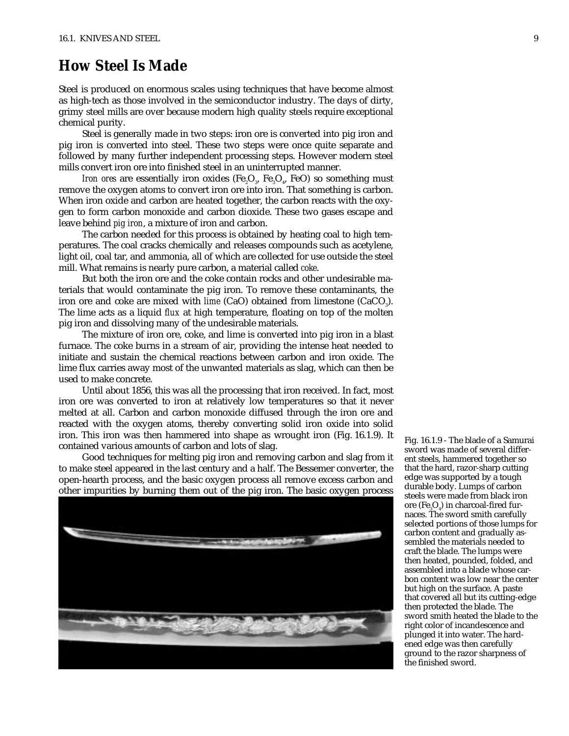# **How Steel Is Made**

Steel is produced on enormous scales using techniques that have become almost as high-tech as those involved in the semiconductor industry. The days of dirty, grimy steel mills are over because modern high quality steels require exceptional chemical purity.

Steel is generally made in two steps: iron ore is converted into pig iron and pig iron is converted into steel. These two steps were once quite separate and followed by many further independent processing steps. However modern steel mills convert iron ore into finished steel in an uninterrupted manner.

*Iron ores* are essentially iron oxides (Fe<sub>2</sub>O<sub>3</sub>, Fe<sub>3</sub>O<sub>4</sub>, FeO) so something must remove the oxygen atoms to convert iron ore into iron. That something is carbon. When iron oxide and carbon are heated together, the carbon reacts with the oxygen to form carbon monoxide and carbon dioxide. These two gases escape and leave behind *pig iron*, a mixture of iron and carbon.

The carbon needed for this process is obtained by heating coal to high temperatures. The coal cracks chemically and releases compounds such as acetylene, light oil, coal tar, and ammonia, all of which are collected for use outside the steel mill. What remains is nearly pure carbon, a material called *coke*.

But both the iron ore and the coke contain rocks and other undesirable materials that would contaminate the pig iron. To remove these contaminants, the iron ore and coke are mixed with *lime* (CaO) obtained from limestone (CaCO<sub>3</sub>). The lime acts as a liquid *flux* at high temperature, floating on top of the molten pig iron and dissolving many of the undesirable materials.

The mixture of iron ore, coke, and lime is converted into pig iron in a blast furnace. The coke burns in a stream of air, providing the intense heat needed to initiate and sustain the chemical reactions between carbon and iron oxide. The lime flux carries away most of the unwanted materials as slag, which can then be used to make concrete.

Until about 1856, this was all the processing that iron received. In fact, most iron ore was converted to iron at relatively low temperatures so that it never melted at all. Carbon and carbon monoxide diffused through the iron ore and reacted with the oxygen atoms, thereby converting solid iron oxide into solid iron. This iron was then hammered into shape as wrought iron (Fig. 16.1.9). It contained various amounts of carbon and lots of slag.

Good techniques for melting pig iron and removing carbon and slag from it to make steel appeared in the last century and a half. The Bessemer converter, the open-hearth process, and the basic oxygen process all remove excess carbon and other impurities by burning them out of the pig iron. The basic oxygen process



Fig. 16.1.9 - The blade of a Samurai sword was made of several different steels, hammered together so that the hard, razor-sharp cutting edge was supported by a tough durable body. Lumps of carbon steels were made from black iron ore (Fe $_{3}$ O $_{4}$ ) in charcoal-fired furnaces. The sword smith carefully selected portions of those lumps for carbon content and gradually assembled the materials needed to craft the blade. The lumps were then heated, pounded, folded, and assembled into a blade whose carbon content was low near the center but high on the surface. A paste that covered all but its cutting-edge then protected the blade. The sword smith heated the blade to the right color of incandescence and plunged it into water. The hardened edge was then carefully ground to the razor sharpness of the finished sword.